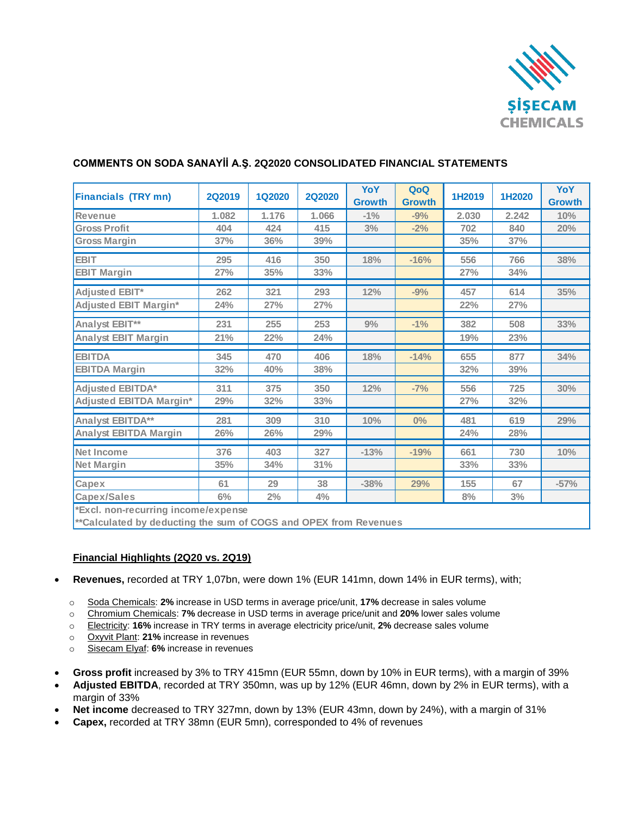

| <b>Financials (TRY mn)</b>                                       | <b>2Q2019</b> | <b>1Q2020</b> | <b>2Q2020</b> | YoY<br><b>Growth</b> | QoQ<br><b>Growth</b> | 1H2019 | 1H2020 | YoY<br><b>Growth</b> |
|------------------------------------------------------------------|---------------|---------------|---------------|----------------------|----------------------|--------|--------|----------------------|
| <b>Revenue</b>                                                   | 1.082         | 1.176         | 1.066         | $-1\%$               | $-9%$                | 2.030  | 2.242  | 10%                  |
| <b>Gross Profit</b>                                              | 404           | 424           | 415           | 3%                   | $-2%$                | 702    | 840    | 20%                  |
| <b>Gross Margin</b>                                              | 37%           | 36%           | 39%           |                      |                      | 35%    | 37%    |                      |
| <b>EBIT</b>                                                      | 295           | 416           | 350           | 18%                  | $-16%$               | 556    | 766    | 38%                  |
| <b>EBIT Margin</b>                                               | 27%           | 35%           | 33%           |                      |                      | 27%    | 34%    |                      |
| Adjusted EBIT*                                                   | 262           | 321           | 293           | 12%                  | $-9%$                | 457    | 614    | 35%                  |
| <b>Adjusted EBIT Margin*</b>                                     | 24%           | 27%           | 27%           |                      |                      | 22%    | 27%    |                      |
| Analyst EBIT**                                                   | 231           | 255           | 253           | 9%                   | $-1%$                | 382    | 508    | 33%                  |
| <b>Analyst EBIT Margin</b>                                       | 21%           | 22%           | 24%           |                      |                      | 19%    | 23%    |                      |
| <b>EBITDA</b>                                                    | 345           | 470           | 406           | 18%                  | $-14%$               | 655    | 877    | 34%                  |
| <b>EBITDA Margin</b>                                             | 32%           | 40%           | 38%           |                      |                      | 32%    | 39%    |                      |
| <b>Adjusted EBITDA*</b>                                          | 311           | 375           | 350           | 12%                  | $-7%$                | 556    | 725    | 30%                  |
| <b>Adjusted EBITDA Margin*</b>                                   | 29%           | 32%           | 33%           |                      |                      | 27%    | 32%    |                      |
| Analyst EBITDA**                                                 | 281           | 309           | 310           | 10%                  | $0\%$                | 481    | 619    | 29%                  |
| <b>Analyst EBITDA Margin</b>                                     | 26%           | 26%           | 29%           |                      |                      | 24%    | 28%    |                      |
| <b>Net Income</b>                                                | 376           | 403           | 327           | $-13%$               | $-19%$               | 661    | 730    | 10%                  |
| <b>Net Margin</b>                                                | 35%           | 34%           | 31%           |                      |                      | 33%    | 33%    |                      |
| Capex                                                            | 61            | 29            | 38            | $-38%$               | 29%                  | 155    | 67     | $-57%$               |
| Capex/Sales                                                      | 6%            | 2%            | 4%            |                      |                      | 8%     | 3%     |                      |
| *Excl. non-recurring income/expense                              |               |               |               |                      |                      |        |        |                      |
| **Calculated by deducting the sum of COGS and OPEX from Revenues |               |               |               |                      |                      |        |        |                      |

## **COMMENTS ON SODA SANAYİİ A.Ş. 2Q2020 CONSOLIDATED FINANCIAL STATEMENTS**

**Financial Highlights (2Q20 vs. 2Q19)**

- **Revenues,** recorded at TRY 1,07bn, were down 1% (EUR 141mn, down 14% in EUR terms), with;
	- o Soda Chemicals: **2%** increase in USD terms in average price/unit, **17%** decrease in sales volume
	- o Chromium Chemicals: **7%** decrease in USD terms in average price/unit and **20%** lower sales volume
	- o Electricity: **16%** increase in TRY terms in average electricity price/unit, **2%** decrease sales volume
	- o Oxyvit Plant: **21%** increase in revenues
	- o Sisecam Elyaf: **6%** increase in revenues
- **Gross profit** increased by 3% to TRY 415mn (EUR 55mn, down by 10% in EUR terms), with a margin of 39%
- **Adjusted EBITDA**, recorded at TRY 350mn, was up by 12% (EUR 46mn, down by 2% in EUR terms), with a margin of 33%
- **Net income** decreased to TRY 327mn, down by 13% (EUR 43mn, down by 24%), with a margin of 31%
- **Capex,** recorded at TRY 38mn (EUR 5mn), corresponded to 4% of revenues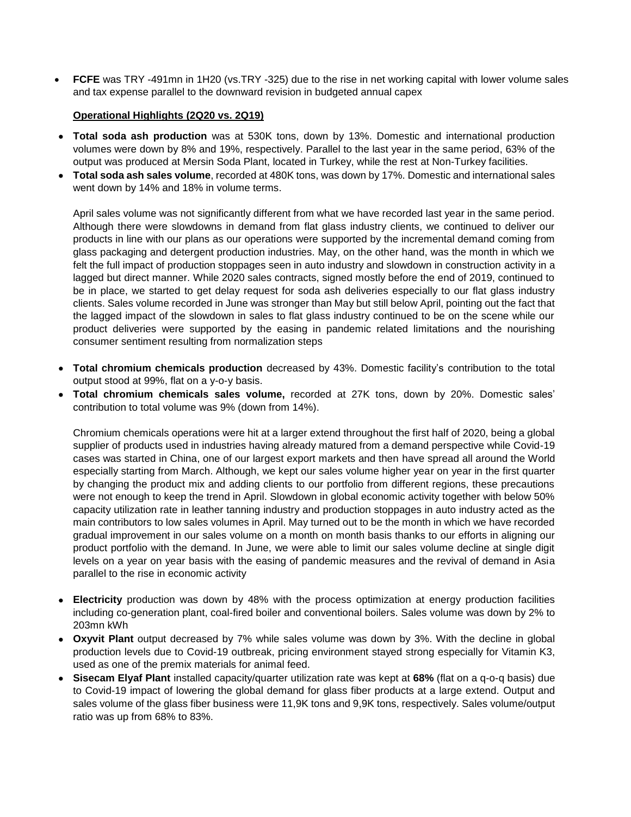**FCFE** was TRY -491mn in 1H20 (vs.TRY -325) due to the rise in net working capital with lower volume sales and tax expense parallel to the downward revision in budgeted annual capex

## **Operational Highlights (2Q20 vs. 2Q19)**

- **Total soda ash production** was at 530K tons, down by 13%. Domestic and international production volumes were down by 8% and 19%, respectively. Parallel to the last year in the same period, 63% of the output was produced at Mersin Soda Plant, located in Turkey, while the rest at Non-Turkey facilities.
- **Total soda ash sales volume**, recorded at 480K tons, was down by 17%. Domestic and international sales went down by 14% and 18% in volume terms.

April sales volume was not significantly different from what we have recorded last year in the same period. Although there were slowdowns in demand from flat glass industry clients, we continued to deliver our products in line with our plans as our operations were supported by the incremental demand coming from glass packaging and detergent production industries. May, on the other hand, was the month in which we felt the full impact of production stoppages seen in auto industry and slowdown in construction activity in a lagged but direct manner. While 2020 sales contracts, signed mostly before the end of 2019, continued to be in place, we started to get delay request for soda ash deliveries especially to our flat glass industry clients. Sales volume recorded in June was stronger than May but still below April, pointing out the fact that the lagged impact of the slowdown in sales to flat glass industry continued to be on the scene while our product deliveries were supported by the easing in pandemic related limitations and the nourishing consumer sentiment resulting from normalization steps

- **Total chromium chemicals production** decreased by 43%. Domestic facility's contribution to the total output stood at 99%, flat on a y-o-y basis.
- **Total chromium chemicals sales volume,** recorded at 27K tons, down by 20%. Domestic sales' contribution to total volume was 9% (down from 14%).

Chromium chemicals operations were hit at a larger extend throughout the first half of 2020, being a global supplier of products used in industries having already matured from a demand perspective while Covid-19 cases was started in China, one of our largest export markets and then have spread all around the World especially starting from March. Although, we kept our sales volume higher year on year in the first quarter by changing the product mix and adding clients to our portfolio from different regions, these precautions were not enough to keep the trend in April. Slowdown in global economic activity together with below 50% capacity utilization rate in leather tanning industry and production stoppages in auto industry acted as the main contributors to low sales volumes in April. May turned out to be the month in which we have recorded gradual improvement in our sales volume on a month on month basis thanks to our efforts in aligning our product portfolio with the demand. In June, we were able to limit our sales volume decline at single digit levels on a year on year basis with the easing of pandemic measures and the revival of demand in Asia parallel to the rise in economic activity

- **Electricity** production was down by 48% with the process optimization at energy production facilities including co-generation plant, coal-fired boiler and conventional boilers. Sales volume was down by 2% to 203mn kWh
- **Oxyvit Plant** output decreased by 7% while sales volume was down by 3%. With the decline in global production levels due to Covid-19 outbreak, pricing environment stayed strong especially for Vitamin K3, used as one of the premix materials for animal feed.
- **Sisecam Elyaf Plant** installed capacity/quarter utilization rate was kept at **68%** (flat on a q-o-q basis) due to Covid-19 impact of lowering the global demand for glass fiber products at a large extend. Output and sales volume of the glass fiber business were 11,9K tons and 9,9K tons, respectively. Sales volume/output ratio was up from 68% to 83%.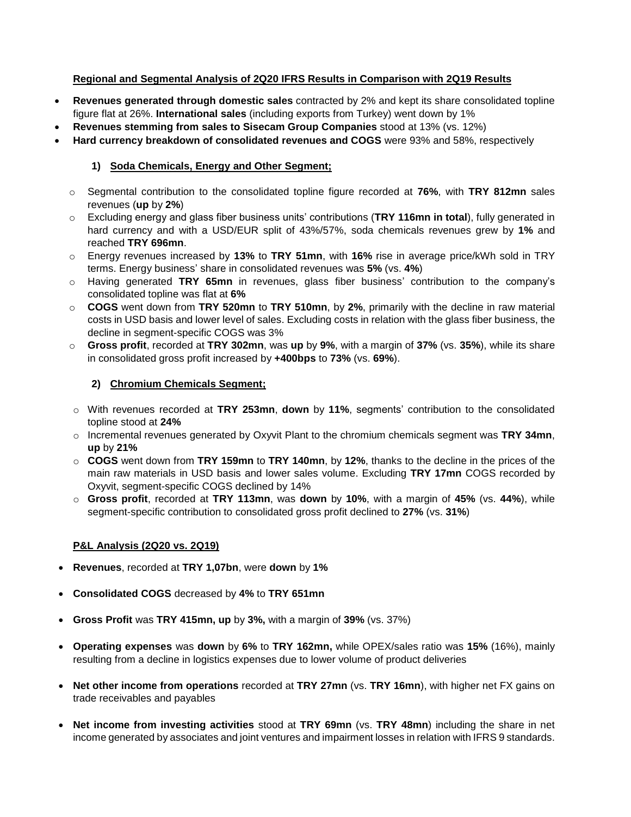## **Regional and Segmental Analysis of 2Q20 IFRS Results in Comparison with 2Q19 Results**

- **Revenues generated through domestic sales** contracted by 2% and kept its share consolidated topline figure flat at 26%. **International sales** (including exports from Turkey) went down by 1%
- **Revenues stemming from sales to Sisecam Group Companies** stood at 13% (vs. 12%)
- **Hard currency breakdown of consolidated revenues and COGS** were 93% and 58%, respectively

# **1) Soda Chemicals, Energy and Other Segment;**

- o Segmental contribution to the consolidated topline figure recorded at **76%**, with **TRY 812mn** sales revenues (**up** by **2%**)
- o Excluding energy and glass fiber business units' contributions (**TRY 116mn in total**), fully generated in hard currency and with a USD/EUR split of 43%/57%, soda chemicals revenues grew by **1%** and reached **TRY 696mn**.
- o Energy revenues increased by **13%** to **TRY 51mn**, with **16%** rise in average price/kWh sold in TRY terms. Energy business' share in consolidated revenues was **5%** (vs. **4%**)
- o Having generated **TRY 65mn** in revenues, glass fiber business' contribution to the company's consolidated topline was flat at **6%**
- o **COGS** went down from **TRY 520mn** to **TRY 510mn**, by **2%**, primarily with the decline in raw material costs in USD basis and lower level of sales. Excluding costs in relation with the glass fiber business, the decline in segment-specific COGS was 3%
- o **Gross profit**, recorded at **TRY 302mn**, was **up** by **9%**, with a margin of **37%** (vs. **35%**), while its share in consolidated gross profit increased by **+400bps** to **73%** (vs. **69%**).

## **2) Chromium Chemicals Segment;**

- o With revenues recorded at **TRY 253mn**, **down** by **11%**, segments' contribution to the consolidated topline stood at **24%**
- o Incremental revenues generated by Oxyvit Plant to the chromium chemicals segment was **TRY 34mn**, **up** by **21%**
- o **COGS** went down from **TRY 159mn** to **TRY 140mn**, by **12%**, thanks to the decline in the prices of the main raw materials in USD basis and lower sales volume. Excluding **TRY 17mn** COGS recorded by Oxyvit, segment-specific COGS declined by 14%
- o **Gross profit**, recorded at **TRY 113mn**, was **down** by **10%**, with a margin of **45%** (vs. **44%**), while segment-specific contribution to consolidated gross profit declined to **27%** (vs. **31%**)

## **P&L Analysis (2Q20 vs. 2Q19)**

- **Revenues**, recorded at **TRY 1,07bn**, were **down** by **1%**
- **Consolidated COGS** decreased by **4%** to **TRY 651mn**
- **Gross Profit** was **TRY 415mn, up** by **3%,** with a margin of **39%** (vs. 37%)
- **Operating expenses** was **down** by **6%** to **TRY 162mn,** while OPEX/sales ratio was **15%** (16%), mainly resulting from a decline in logistics expenses due to lower volume of product deliveries
- **Net other income from operations** recorded at **TRY 27mn** (vs. **TRY 16mn**), with higher net FX gains on trade receivables and payables
- **Net income from investing activities** stood at **TRY 69mn** (vs. **TRY 48mn**) including the share in net income generated by associates and joint ventures and impairment losses in relation with IFRS 9 standards.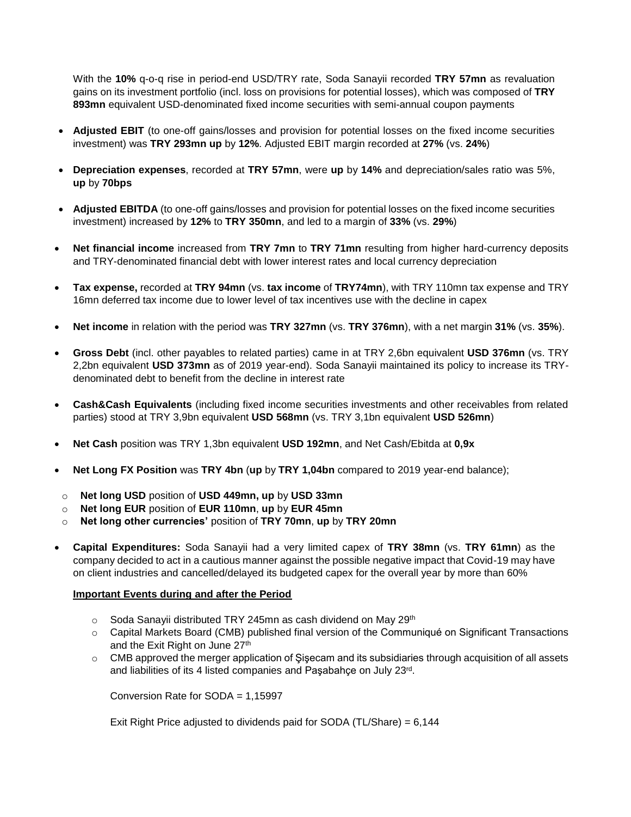With the **10%** q-o-q rise in period-end USD/TRY rate, Soda Sanayii recorded **TRY 57mn** as revaluation gains on its investment portfolio (incl. loss on provisions for potential losses), which was composed of **TRY 893mn** equivalent USD-denominated fixed income securities with semi-annual coupon payments

- **Adjusted EBIT** (to one-off gains/losses and provision for potential losses on the fixed income securities investment) was **TRY 293mn up** by **12%**. Adjusted EBIT margin recorded at **27%** (vs. **24%**)
- **Depreciation expenses**, recorded at **TRY 57mn**, were **up** by **14%** and depreciation/sales ratio was 5%, **up** by **70bps**
- **Adjusted EBITDA** (to one-off gains/losses and provision for potential losses on the fixed income securities investment) increased by **12%** to **TRY 350mn**, and led to a margin of **33%** (vs. **29%**)
- **Net financial income** increased from **TRY 7mn** to **TRY 71mn** resulting from higher hard-currency deposits and TRY-denominated financial debt with lower interest rates and local currency depreciation
- **Tax expense,** recorded at **TRY 94mn** (vs. **tax income** of **TRY74mn**), with TRY 110mn tax expense and TRY 16mn deferred tax income due to lower level of tax incentives use with the decline in capex
- **Net income** in relation with the period was **TRY 327mn** (vs. **TRY 376mn**), with a net margin **31%** (vs. **35%**).
- **Gross Debt** (incl. other payables to related parties) came in at TRY 2,6bn equivalent **USD 376mn** (vs. TRY 2,2bn equivalent **USD 373mn** as of 2019 year-end). Soda Sanayii maintained its policy to increase its TRYdenominated debt to benefit from the decline in interest rate
- **Cash&Cash Equivalents** (including fixed income securities investments and other receivables from related parties) stood at TRY 3,9bn equivalent **USD 568mn** (vs. TRY 3,1bn equivalent **USD 526mn**)
- **Net Cash** position was TRY 1,3bn equivalent **USD 192mn**, and Net Cash/Ebitda at **0,9x**
- **Net Long FX Position** was **TRY 4bn** (**up** by **TRY 1,04bn** compared to 2019 year-end balance);
- o **Net long USD** position of **USD 449mn, up** by **USD 33mn**
- o **Net long EUR** position of **EUR 110mn**, **up** by **EUR 45mn**
- o **Net long other currencies'** position of **TRY 70mn**, **up** by **TRY 20mn**
- **Capital Expenditures:** Soda Sanayii had a very limited capex of **TRY 38mn** (vs. **TRY 61mn**) as the company decided to act in a cautious manner against the possible negative impact that Covid-19 may have on client industries and cancelled/delayed its budgeted capex for the overall year by more than 60%

#### **Important Events during and after the Period**

- $\circ$  Soda Sanayii distributed TRY 245mn as cash dividend on May 29<sup>th</sup>
- o Capital Markets Board (CMB) published final version of the Communiqué on Significant Transactions and the Exit Right on June 27th
- o CMB approved the merger application of Şişecam and its subsidiaries through acquisition of all assets and liabilities of its 4 listed companies and Paşabahçe on July 23rd.

Conversion Rate for SODA = 1,15997

Exit Right Price adjusted to dividends paid for SODA (TL/Share) = 6,144